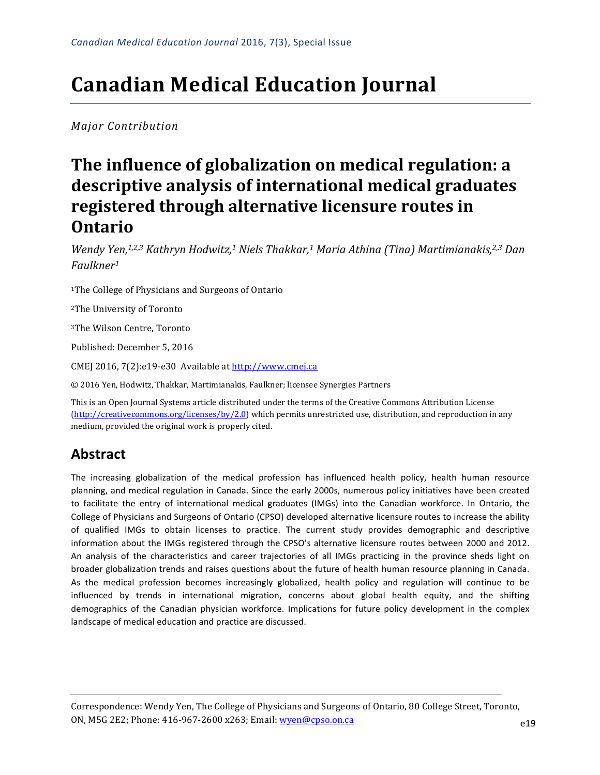# **Canadian Medical Education Journal**

*Major Contribution*

## The influence of globalization on medical regulation: a descriptive analysis of international medical graduates registered through alternative licensure routes in **Ontario**

*Wendy Yen,<sup>1,2,3</sup> Kathryn Hodwitz,*<sup>1</sup> Niels Thakkar,<sup>1</sup> Maria Athina (Tina) Martimianakis,<sup>2,3</sup> Dan *Faulkner1*

<sup>1</sup>The College of Physicians and Surgeons of Ontario

<sup>2</sup>The University of Toronto

<sup>3</sup>The Wilson Centre, Toronto

Published: December 5, 2016

CMEJ 2016, 7(2):e19-e30 Available at http://www.cmej.ca

© 2016 Yen, Hodwitz, Thakkar, Martimianakis, Faulkner; licensee Synergies Partners

This is an Open Journal Systems article distributed under the terms of the Creative Commons Attribution License  $(\text{http://creativecommons.org/licenses/by/1.0/">\ntitle://creativecommons.org/licenses/by/1.0})$  which permits unrestricted use, distribution, and reproduction in any medium, provided the original work is properly cited.

### **Abstract**

The increasing globalization of the medical profession has influenced health policy, health human resource planning, and medical regulation in Canada. Since the early 2000s, numerous policy initiatives have been created to facilitate the entry of international medical graduates (IMGs) into the Canadian workforce. In Ontario, the College of Physicians and Surgeons of Ontario (CPSO) developed alternative licensure routes to increase the ability of qualified IMGs to obtain licenses to practice. The current study provides demographic and descriptive information about the IMGs registered through the CPSO's alternative licensure routes between 2000 and 2012. An analysis of the characteristics and career trajectories of all IMGs practicing in the province sheds light on broader globalization trends and raises questions about the future of health human resource planning in Canada. As the medical profession becomes increasingly globalized, health policy and regulation will continue to be influenced by trends in international migration, concerns about global health equity, and the shifting demographics of the Canadian physician workforce. Implications for future policy development in the complex landscape of medical education and practice are discussed.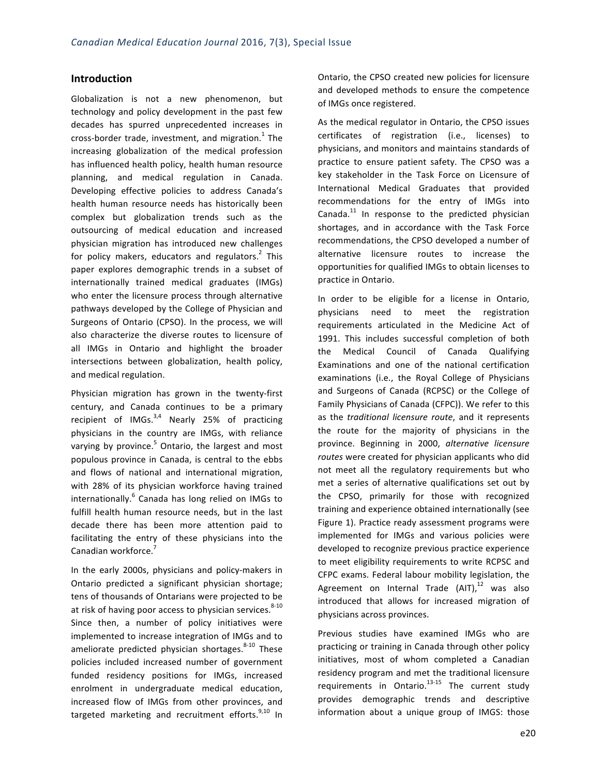#### **Introduction**

Globalization is not a new phenomenon, but technology and policy development in the past few decades has spurred unprecedented increases in cross-border trade, investment, and migration. $1$  The increasing globalization of the medical profession has influenced health policy, health human resource planning, and medical regulation in Canada. Developing effective policies to address Canada's health human resource needs has historically been complex but globalization trends such as the outsourcing of medical education and increased physician migration has introduced new challenges for policy makers, educators and regulators. $2$  This paper explores demographic trends in a subset of internationally trained medical graduates (IMGs) who enter the licensure process through alternative pathways developed by the College of Physician and Surgeons of Ontario (CPSO). In the process, we will also characterize the diverse routes to licensure of all IMGs in Ontario and highlight the broader intersections between globalization, health policy, and medical regulation.

Physician migration has grown in the twenty-first century, and Canada continues to be a primary recipient of  $IMGs.<sup>3,4</sup>$  Nearly 25% of practicing physicians in the country are IMGs, with reliance varying by province. $5$  Ontario, the largest and most populous province in Canada, is central to the ebbs and flows of national and international migration, with 28% of its physician workforce having trained internationally.<sup>6</sup> Canada has long relied on IMGs to fulfill health human resource needs, but in the last decade there has been more attention paid to facilitating the entry of these physicians into the Canadian workforce.

In the early 2000s, physicians and policy-makers in Ontario predicted a significant physician shortage; tens of thousands of Ontarians were projected to be at risk of having poor access to physician services.<sup>8-10</sup> Since then, a number of policy initiatives were implemented to increase integration of IMGs and to ameliorate predicted physician shortages.  $8-10$  These policies included increased number of government funded residency positions for IMGs, increased enrolment in undergraduate medical education, increased flow of IMGs from other provinces, and targeted marketing and recruitment efforts. $9,10$  In

Ontario, the CPSO created new policies for licensure and developed methods to ensure the competence of IMGs once registered.

As the medical regulator in Ontario, the CPSO issues certificates of registration (i.e., licenses) to physicians, and monitors and maintains standards of practice to ensure patient safety. The CPSO was a key stakeholder in the Task Force on Licensure of International Medical Graduates that provided recommendations for the entry of IMGs into Canada. $11$  In response to the predicted physician shortages, and in accordance with the Task Force recommendations, the CPSO developed a number of alternative licensure routes to increase the opportunities for qualified IMGs to obtain licenses to practice in Ontario.

In order to be eligible for a license in Ontario, physicians need to meet the registration requirements articulated in the Medicine Act of 1991. This includes successful completion of both the Medical Council of Canada Qualifying Examinations and one of the national certification examinations (i.e., the Royal College of Physicians and Surgeons of Canada (RCPSC) or the College of Family Physicians of Canada (CFPC)). We refer to this as the *traditional licensure route*, and it represents the route for the majority of physicians in the province. Beginning in 2000, *alternative licensure*  routes were created for physician applicants who did not meet all the regulatory requirements but who met a series of alternative qualifications set out by the CPSO, primarily for those with recognized training and experience obtained internationally (see Figure 1). Practice ready assessment programs were implemented for IMGs and various policies were developed to recognize previous practice experience to meet eligibility requirements to write RCPSC and CFPC exams. Federal labour mobility legislation, the Agreement on Internal Trade (AIT), $^{12}$  was also introduced that allows for increased migration of physicians across provinces.

Previous studies have examined IMGs who are practicing or training in Canada through other policy initiatives, most of whom completed a Canadian residency program and met the traditional licensure requirements in Ontario.<sup>13-15</sup> The current study provides demographic trends and descriptive information about a unique group of IMGS: those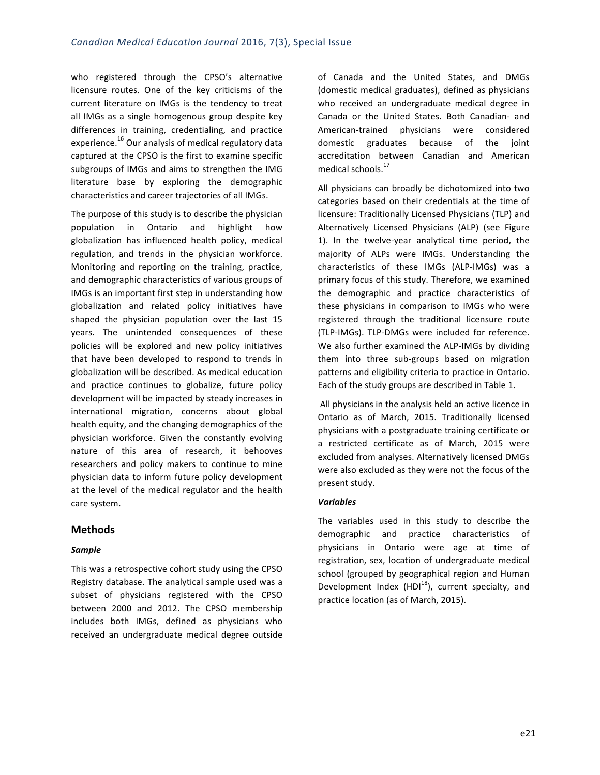who registered through the CPSO's alternative licensure routes. One of the key criticisms of the current literature on IMGs is the tendency to treat all IMGs as a single homogenous group despite key differences in training, credentialing, and practice experience.<sup>16</sup> Our analysis of medical regulatory data captured at the CPSO is the first to examine specific subgroups of IMGs and aims to strengthen the IMG literature base by exploring the demographic characteristics and career trajectories of all IMGs.

The purpose of this study is to describe the physician population in Ontario and highlight how globalization has influenced health policy, medical regulation, and trends in the physician workforce. Monitoring and reporting on the training, practice, and demographic characteristics of various groups of IMGs is an important first step in understanding how globalization and related policy initiatives have shaped the physician population over the last 15 years. The unintended consequences of these policies will be explored and new policy initiatives that have been developed to respond to trends in globalization will be described. As medical education and practice continues to globalize, future policy development will be impacted by steady increases in international migration, concerns about global health equity, and the changing demographics of the physician workforce. Given the constantly evolving nature of this area of research, it behooves researchers and policy makers to continue to mine physician data to inform future policy development at the level of the medical regulator and the health care system.

#### **Methods**

#### *Sample*

This was a retrospective cohort study using the CPSO Registry database. The analytical sample used was a subset of physicians registered with the CPSO between 2000 and 2012. The CPSO membership includes both IMGs, defined as physicians who received an undergraduate medical degree outside

of Canada and the United States, and DMGs (domestic medical graduates), defined as physicians who received an undergraduate medical degree in Canada or the United States. Both Canadian- and American-trained physicians were considered domestic graduates because of the joint accreditation between Canadian and American medical schools.<sup>17</sup>

All physicians can broadly be dichotomized into two categories based on their credentials at the time of licensure: Traditionally Licensed Physicians (TLP) and Alternatively Licensed Physicians (ALP) (see Figure 1). In the twelve-year analytical time period, the majority of ALPs were IMGs. Understanding the characteristics of these IMGs (ALP-IMGs) was a primary focus of this study. Therefore, we examined the demographic and practice characteristics of these physicians in comparison to IMGs who were registered through the traditional licensure route (TLP-IMGs). TLP-DMGs were included for reference. We also further examined the ALP-IMGs by dividing them into three sub-groups based on migration patterns and eligibility criteria to practice in Ontario. Each of the study groups are described in Table 1.

All physicians in the analysis held an active licence in Ontario as of March, 2015. Traditionally licensed physicians with a postgraduate training certificate or a restricted certificate as of March, 2015 were excluded from analyses. Alternatively licensed DMGs were also excluded as they were not the focus of the present study.

#### *Variables*

The variables used in this study to describe the demographic and practice characteristics of physicians in Ontario were age at time of registration, sex, location of undergraduate medical school (grouped by geographical region and Human Development Index (HDI<sup>18</sup>), current specialty, and practice location (as of March, 2015).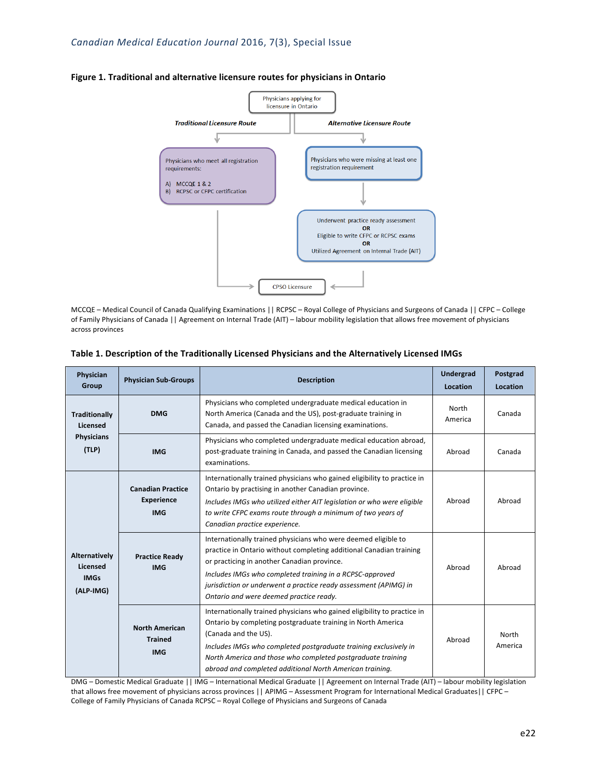

#### Figure 1. Traditional and alternative licensure routes for physicians in Ontario

MCCQE – Medical Council of Canada Qualifying Examinations || RCPSC – Royal College of Physicians and Surgeons of Canada || CFPC – College of Family Physicians of Canada || Agreement on Internal Trade (AIT) – labour mobility legislation that allows free movement of physicians across provinces

| Physician<br>Group                                             | <b>Physician Sub-Groups</b>                                 | <b>Description</b>                                                                                                                                                                                                                                                                                                                                              | Undergrad<br>Location | Postgrad<br>Location |
|----------------------------------------------------------------|-------------------------------------------------------------|-----------------------------------------------------------------------------------------------------------------------------------------------------------------------------------------------------------------------------------------------------------------------------------------------------------------------------------------------------------------|-----------------------|----------------------|
| <b>Traditionally</b><br>Licensed<br><b>Physicians</b><br>(TLP) | <b>DMG</b>                                                  | Physicians who completed undergraduate medical education in<br>North America (Canada and the US), post-graduate training in<br>Canada, and passed the Canadian licensing examinations.                                                                                                                                                                          | North<br>America      | Canada               |
|                                                                | <b>IMG</b>                                                  | Physicians who completed undergraduate medical education abroad,<br>post-graduate training in Canada, and passed the Canadian licensing<br>examinations.                                                                                                                                                                                                        | Abroad                | Canada               |
| Alternatively<br>Licensed<br><b>IMGs</b><br>(ALP-IMG)          | <b>Canadian Practice</b><br><b>Experience</b><br><b>IMG</b> | Internationally trained physicians who gained eligibility to practice in<br>Ontario by practising in another Canadian province.<br>Includes IMGs who utilized either AIT legislation or who were eligible<br>to write CFPC exams route through a minimum of two years of<br>Canadian practice experience.                                                       | Abroad                | Abroad               |
|                                                                | <b>Practice Ready</b><br><b>IMG</b>                         | Internationally trained physicians who were deemed eligible to<br>practice in Ontario without completing additional Canadian training<br>or practicing in another Canadian province.<br>Includes IMGs who completed training in a RCPSC-approved<br>jurisdiction or underwent a practice ready assessment (APIMG) in<br>Ontario and were deemed practice ready. | Abroad                | Abroad               |
|                                                                | <b>North American</b><br><b>Trained</b><br><b>IMG</b>       | Internationally trained physicians who gained eligibility to practice in<br>Ontario by completing postgraduate training in North America<br>(Canada and the US).<br>Includes IMGs who completed postgraduate training exclusively in<br>North America and those who completed postgraduate training<br>abroad and completed additional North American training. | Abroad                | North<br>America     |

#### Table 1. Description of the Traditionally Licensed Physicians and the Alternatively Licensed IMGs

DMG – Domestic Medical Graduate || IMG – International Medical Graduate || Agreement on Internal Trade (AIT) – labour mobility legislation that allows free movement of physicians across provinces || APIMG – Assessment Program for International Medical Graduates|| CFPC – College of Family Physicians of Canada RCPSC - Royal College of Physicians and Surgeons of Canada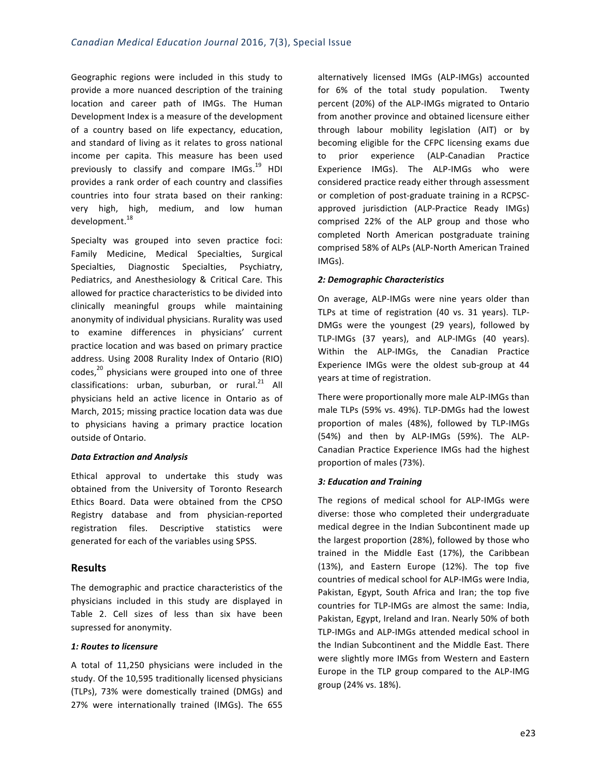Geographic regions were included in this study to provide a more nuanced description of the training location and career path of IMGs. The Human Development Index is a measure of the development of a country based on life expectancy, education, and standard of living as it relates to gross national income per capita. This measure has been used previously to classify and compare IMGs.<sup>19</sup> HDI provides a rank order of each country and classifies countries into four strata based on their ranking: very high, high, medium, and low human development. 18

Specialty was grouped into seven practice foci: Family Medicine, Medical Specialties, Surgical Specialties, Diagnostic Specialties, Psychiatry, Pediatrics, and Anesthesiology & Critical Care. This allowed for practice characteristics to be divided into clinically meaningful groups while maintaining anonymity of individual physicians. Rurality was used to examine differences in physicians' current practice location and was based on primary practice address. Using 2008 Rurality Index of Ontario (RIO) codes, $^{20}$  physicians were grouped into one of three classifications: urban, suburban, or rural.<sup>21</sup> All physicians held an active licence in Ontario as of March, 2015; missing practice location data was due to physicians having a primary practice location outside of Ontario.

#### *Data Extraction and Analysis*

Ethical approval to undertake this study was obtained from the University of Toronto Research Ethics Board. Data were obtained from the CPSO Registry database and from physician-reported registration files. Descriptive statistics were generated for each of the variables using SPSS.

#### **Results**

The demographic and practice characteristics of the physicians included in this study are displayed in Table 2. Cell sizes of less than six have been supressed for anonymity.

#### *1: Routes to licensure*

A total of 11,250 physicians were included in the study. Of the 10,595 traditionally licensed physicians (TLPs), 73% were domestically trained (DMGs) and 27% were internationally trained (IMGs). The 655 alternatively licensed IMGs (ALP-IMGs) accounted for 6% of the total study population. Twenty percent (20%) of the ALP-IMGs migrated to Ontario from another province and obtained licensure either through labour mobility legislation (AIT) or by becoming eligible for the CFPC licensing exams due to prior experience (ALP-Canadian Practice Experience IMGs). The ALP-IMGs who were considered practice ready either through assessment or completion of post-graduate training in a RCPSCapproved jurisdiction (ALP-Practice Ready IMGs) comprised 22% of the ALP group and those who completed North American postgraduate training comprised 58% of ALPs (ALP-North American Trained IMGs). 

#### *2: Demographic Characteristics*

On average, ALP-IMGs were nine years older than TLPs at time of registration (40 vs. 31 years). TLP-DMGs were the youngest (29 years), followed by TLP-IMGs (37 years), and ALP-IMGs (40 years). Within the ALP-IMGs, the Canadian Practice Experience IMGs were the oldest sub-group at 44 years at time of registration.

There were proportionally more male ALP-IMGs than male TLPs (59% vs. 49%). TLP-DMGs had the lowest proportion of males (48%), followed by TLP-IMGs (54%) and then by ALP-IMGs (59%). The ALP-Canadian Practice Experience IMGs had the highest proportion of males (73%).

#### *3: Education and Training*

The regions of medical school for ALP-IMGs were diverse: those who completed their undergraduate medical degree in the Indian Subcontinent made up the largest proportion (28%), followed by those who trained in the Middle East (17%), the Caribbean (13%), and Eastern Europe (12%). The top five countries of medical school for ALP-IMGs were India, Pakistan, Egypt, South Africa and Iran; the top five countries for TLP-IMGs are almost the same: India, Pakistan, Egypt, Ireland and Iran. Nearly 50% of both TLP-IMGs and ALP-IMGs attended medical school in the Indian Subcontinent and the Middle East. There were slightly more IMGs from Western and Eastern Europe in the TLP group compared to the ALP-IMG group (24% vs. 18%).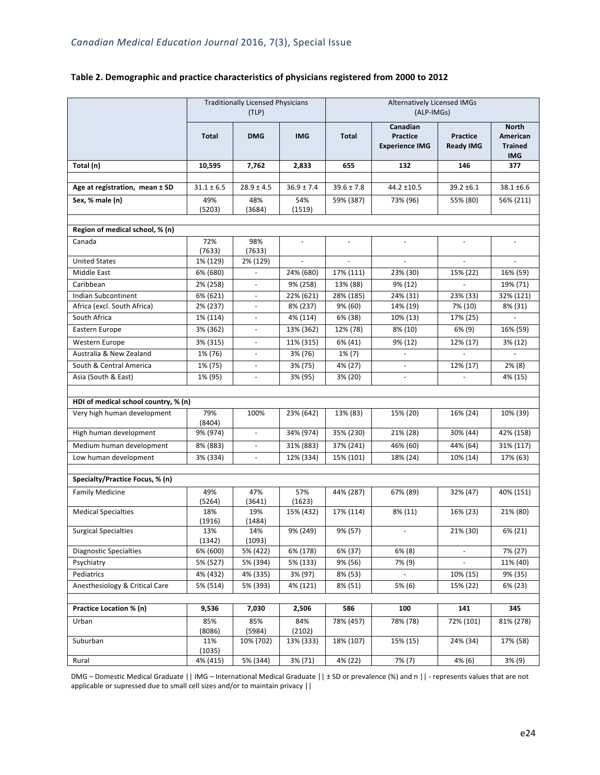|                                      | <b>Traditionally Licensed Physicians</b><br>(TLP) |                          |                | <b>Alternatively Licensed IMGs</b><br>(ALP-IMGs) |                                                      |                                     |                                                          |
|--------------------------------------|---------------------------------------------------|--------------------------|----------------|--------------------------------------------------|------------------------------------------------------|-------------------------------------|----------------------------------------------------------|
|                                      | <b>Total</b>                                      | <b>DMG</b>               | <b>IMG</b>     | <b>Total</b>                                     | Canadian<br><b>Practice</b><br><b>Experience IMG</b> | <b>Practice</b><br><b>Ready IMG</b> | <b>North</b><br>American<br><b>Trained</b><br><b>IMG</b> |
| Total (n)                            | 10,595                                            | 7,762                    | 2,833          | 655                                              | 132                                                  | 146                                 | 377                                                      |
|                                      |                                                   |                          |                |                                                  |                                                      |                                     |                                                          |
| Age at registration, mean ± SD       | $31.1 \pm 6.5$                                    | $28.9 \pm 4.5$           | $36.9 \pm 7.4$ | $39.6 \pm 7.8$                                   | 44.2 ±10.5                                           | $39.2 \pm 6.1$                      | 38.1 ±6.6                                                |
| Sex, % male (n)                      | 49%<br>(5203)                                     | 48%<br>(3684)            | 54%<br>(1519)  | 59% (387)                                        | 73% (96)                                             | 55% (80)                            | 56% (211)                                                |
| Region of medical school, % (n)      |                                                   |                          |                |                                                  |                                                      |                                     |                                                          |
| Canada                               | 72%<br>(7633)                                     | 98%<br>(7633)            | $\omega$       | $\overline{\phantom{a}}$                         |                                                      |                                     |                                                          |
| <b>United States</b>                 | 1% (129)                                          | 2% (129)                 |                | $\bar{\phantom{a}}$                              |                                                      |                                     |                                                          |
| Middle East                          | 6% (680)                                          |                          | 24% (680)      | 17% (111)                                        | 23% (30)                                             | 15% (22)                            | 16% (59)                                                 |
| Caribbean                            | 2% (258)                                          |                          | 9% (258)       | 13% (88)                                         | 9% (12)                                              |                                     | 19% (71)                                                 |
| Indian Subcontinent                  | 6% (621)                                          | $\overline{\phantom{a}}$ | 22% (621)      | 28% (185)                                        | 24% (31)                                             | 23% (33)                            | 32% (121)                                                |
| Africa (excl. South Africa)          | 2% (237)                                          |                          | 8% (237)       | 9% (60)                                          | 14% (19)                                             | 7% (10)                             | 8% (31)                                                  |
| South Africa                         | 1% (114)                                          |                          | 4% (114)       | 6% (38)                                          | 10% (13)                                             | 17% (25)                            |                                                          |
| Eastern Europe                       | 3% (362)                                          |                          | 13% (362)      | 12% (78)                                         | 8% (10)                                              | 6% (9)                              | 16% (59)                                                 |
| Western Europe                       | 3% (315)                                          |                          | 11% (315)      | 6% (41)                                          | 9% (12)                                              | 12% (17)                            | 3% (12)                                                  |
| Australia & New Zealand              | 1% (76)                                           |                          | 3% (76)        | $1\%$ (7)                                        |                                                      |                                     |                                                          |
| South & Central America              | 1% (75)                                           |                          | 3% (75)        | 4% (27)                                          |                                                      | 12% (17)                            | $2\%$ (8)                                                |
| Asia (South & East)                  | 1% (95)                                           |                          | 3% (95)        | 3% (20)                                          |                                                      |                                     | 4% (15)                                                  |
|                                      |                                                   |                          |                |                                                  |                                                      |                                     |                                                          |
| HDI of medical school country, % (n) |                                                   |                          |                |                                                  |                                                      |                                     |                                                          |
| Very high human development          | 79%<br>(8404)                                     | 100%                     | 23% (642)      | 13% (83)                                         | 15% (20)                                             | 16% (24)                            | 10% (39)                                                 |
| High human development               | 9% (974)                                          | $\overline{\phantom{a}}$ | 34% (974)      | 35% (230)                                        | 21% (28)                                             | 30% (44)                            | 42% (158)                                                |
| Medium human development             | 8% (883)                                          | $\omega$                 | 31% (883)      | 37% (241)                                        | 46% (60)                                             | 44% (64)                            | 31% (117)                                                |
| Low human development                | 3% (334)                                          | $\blacksquare$           | 12% (334)      | 15% (101)                                        | 18% (24)                                             | 10% (14)                            | 17% (63)                                                 |
|                                      |                                                   |                          |                |                                                  |                                                      |                                     |                                                          |
| Specialty/Practice Focus, % (n)      |                                                   |                          |                |                                                  |                                                      |                                     |                                                          |
| <b>Family Medicine</b>               | 49%<br>(5264)                                     | 47%<br>(3641)            | 57%<br>(1623)  | 44% (287)                                        | 67% (89)                                             | 32% (47)                            | 40% (151)                                                |
| <b>Medical Specialties</b>           | 18%<br>(1916)                                     | 19%<br>(1484)            | 15% (432)      | 17% (114)                                        | 8% (11)                                              | 16% (23)                            | 21% (80)                                                 |
| <b>Surgical Specialties</b>          | 13%<br>(1342)                                     | 14%<br>(1093)            | 9% (249)       | 9% (57)                                          | $\overline{\phantom{a}}$                             | 21% (30)                            | 6% (21)                                                  |
| <b>Diagnostic Specialties</b>        | 6% (600)                                          | 5% (422)                 | 6% (178)       | 6% (37)                                          | $6\%$ (8)                                            | $\overline{\phantom{a}}$            | 7% (27)                                                  |
| Psychiatry                           | 5% (527)                                          | 5% (394)                 | 5% (133)       | 9% (56)                                          | 7% (9)                                               | $\blacksquare$                      | 11% (40)                                                 |
| Pediatrics                           | 4% (432)                                          | 4% (335)                 | 3% (97)        | 8% (53)                                          | ÷,                                                   | 10% (15)                            | 9% (35)                                                  |
| Anesthesiology & Critical Care       | 5% (514)                                          | 5% (393)                 | 4% (121)       | 8% (51)                                          | 5% (6)                                               | 15% (22)                            | 6% (23)                                                  |
|                                      |                                                   |                          |                |                                                  |                                                      |                                     |                                                          |
| Practice Location % (n)              | 9,536                                             | 7,030                    | 2,506          | 586                                              | 100                                                  | 141                                 | 345                                                      |
| Urban                                | 85%<br>(8086)                                     | 85%<br>(5984)            | 84%<br>(2102)  | 78% (457)                                        | 78% (78)                                             | 72% (101)                           | 81% (278)                                                |
| Suburban                             | 11%<br>(1035)                                     | 10% (702)                | 13% (333)      | 18% (107)                                        | 15% (15)                                             | 24% (34)                            | 17% (58)                                                 |
| Rural                                | 4% (415)                                          | 5% (344)                 | 3% (71)        | 4% (22)                                          | $7\%$ (7)                                            | 4% (6)                              | 3% (9)                                                   |

#### Table 2. Demographic and practice characteristics of physicians registered from 2000 to 2012

DMG – Domestic Medical Graduate || IMG – International Medical Graduate || ± SD or prevalence (%) and n || - represents values that are not applicable or supressed due to small cell sizes and/or to maintain privacy  $||$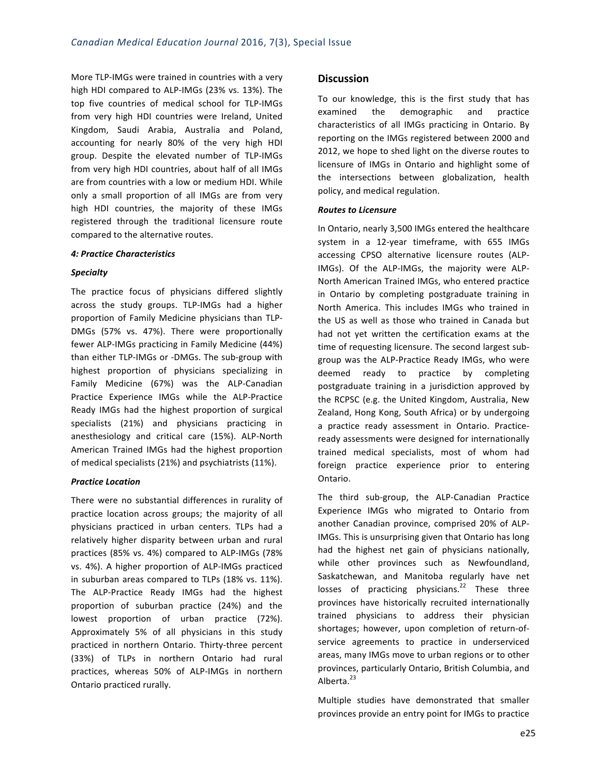More TLP-IMGs were trained in countries with a very high HDI compared to ALP-IMGs (23% vs. 13%). The top five countries of medical school for TLP-IMGs from very high HDI countries were Ireland, United Kingdom, Saudi Arabia, Australia and Poland, accounting for nearly 80% of the very high HDI group. Despite the elevated number of TLP-IMGs from very high HDI countries, about half of all IMGs are from countries with a low or medium HDI. While only a small proportion of all IMGs are from very high HDI countries, the majority of these IMGs registered through the traditional licensure route compared to the alternative routes.

#### *4: Practice Characteristics*

#### *Specialty*

The practice focus of physicians differed slightly across the study groups. TLP-IMGs had a higher proportion of Family Medicine physicians than TLP-DMGs (57% vs. 47%). There were proportionally fewer ALP-IMGs practicing in Family Medicine (44%) than either TLP-IMGs or -DMGs. The sub-group with highest proportion of physicians specializing in Family Medicine (67%) was the ALP-Canadian Practice Experience IMGs while the ALP-Practice Ready IMGs had the highest proportion of surgical specialists (21%) and physicians practicing in anesthesiology and critical care (15%). ALP-North American Trained IMGs had the highest proportion of medical specialists (21%) and psychiatrists (11%).

#### *Practice Location*

There were no substantial differences in rurality of practice location across groups; the majority of all physicians practiced in urban centers. TLPs had a relatively higher disparity between urban and rural practices (85% vs. 4%) compared to ALP-IMGs (78%) vs. 4%). A higher proportion of ALP-IMGs practiced in suburban areas compared to TLPs (18% vs. 11%). The ALP-Practice Ready IMGs had the highest proportion of suburban practice (24%) and the lowest proportion of urban practice (72%). Approximately 5% of all physicians in this study practiced in northern Ontario. Thirty-three percent (33%) of TLPs in northern Ontario had rural practices, whereas 50% of ALP-IMGs in northern Ontario practiced rurally.

#### **Discussion**

To our knowledge, this is the first study that has examined the demographic and practice characteristics of all IMGs practicing in Ontario. By reporting on the IMGs registered between 2000 and 2012, we hope to shed light on the diverse routes to licensure of IMGs in Ontario and highlight some of the intersections between globalization, health policy, and medical regulation.

#### *Routes to Licensure*

In Ontario, nearly 3,500 IMGs entered the healthcare system in a 12-year timeframe, with 655 IMGs accessing CPSO alternative licensure routes (ALP-IMGs). Of the ALP-IMGs, the majority were ALP-North American Trained IMGs, who entered practice in Ontario by completing postgraduate training in North America. This includes IMGs who trained in the US as well as those who trained in Canada but had not yet written the certification exams at the time of requesting licensure. The second largest subgroup was the ALP-Practice Ready IMGs, who were deemed ready to practice by completing postgraduate training in a jurisdiction approved by the RCPSC (e.g. the United Kingdom, Australia, New Zealand, Hong Kong, South Africa) or by undergoing a practice ready assessment in Ontario. Practiceready assessments were designed for internationally trained medical specialists, most of whom had foreign practice experience prior to entering Ontario. 

The third sub-group, the ALP-Canadian Practice Experience IMGs who migrated to Ontario from another Canadian province, comprised 20% of ALP-IMGs. This is unsurprising given that Ontario has long had the highest net gain of physicians nationally, while other provinces such as Newfoundland, Saskatchewan, and Manitoba regularly have net losses of practicing physicians.<sup>22</sup> These three provinces have historically recruited internationally trained physicians to address their physician shortages; however, upon completion of return-ofservice agreements to practice in underserviced areas, many IMGs move to urban regions or to other provinces, particularly Ontario, British Columbia, and Alberta.<sup>23</sup>

Multiple studies have demonstrated that smaller provinces provide an entry point for IMGs to practice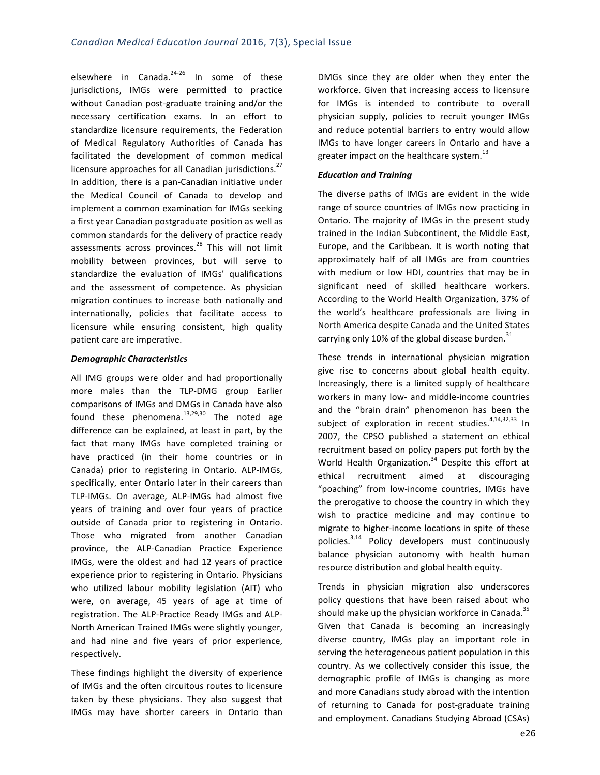elsewhere in Canada.<sup>24-26</sup> In some of these jurisdictions, IMGs were permitted to practice without Canadian post-graduate training and/or the necessary certification exams. In an effort to standardize licensure requirements, the Federation of Medical Regulatory Authorities of Canada has facilitated the development of common medical licensure approaches for all Canadian jurisdictions.<sup>27</sup> In addition, there is a pan-Canadian initiative under the Medical Council of Canada to develop and implement a common examination for IMGs seeking a first year Canadian postgraduate position as well as common standards for the delivery of practice ready assessments across provinces.<sup>28</sup> This will not limit mobility between provinces, but will serve to standardize the evaluation of IMGs' qualifications and the assessment of competence. As physician migration continues to increase both nationally and internationally, policies that facilitate access to licensure while ensuring consistent, high quality patient care are imperative.

#### *Demographic Characteristics*

All IMG groups were older and had proportionally more males than the TLP-DMG group Earlier comparisons of IMGs and DMGs in Canada have also found these phenomena. $^{13,29,30}$  The noted age difference can be explained, at least in part, by the fact that many IMGs have completed training or have practiced (in their home countries or in Canada) prior to registering in Ontario. ALP-IMGs, specifically, enter Ontario later in their careers than TLP-IMGs. On average, ALP-IMGs had almost five years of training and over four years of practice outside of Canada prior to registering in Ontario. Those who migrated from another Canadian province, the ALP-Canadian Practice Experience IMGs, were the oldest and had 12 years of practice experience prior to registering in Ontario. Physicians who utilized labour mobility legislation (AIT) who were, on average, 45 years of age at time of registration. The ALP-Practice Ready IMGs and ALP-North American Trained IMGs were slightly younger, and had nine and five years of prior experience, respectively. 

These findings highlight the diversity of experience of IMGs and the often circuitous routes to licensure taken by these physicians. They also suggest that IMGs may have shorter careers in Ontario than

DMGs since they are older when they enter the workforce. Given that increasing access to licensure for IMGs is intended to contribute to overall physician supply, policies to recruit younger IMGs and reduce potential barriers to entry would allow IMGs to have longer careers in Ontario and have a greater impact on the healthcare system. $^{13}$ 

#### *Education and Training*

The diverse paths of IMGs are evident in the wide range of source countries of IMGs now practicing in Ontario. The majority of IMGs in the present study trained in the Indian Subcontinent, the Middle East, Europe, and the Caribbean. It is worth noting that approximately half of all IMGs are from countries with medium or low HDI, countries that may be in significant need of skilled healthcare workers. According to the World Health Organization, 37% of the world's healthcare professionals are living in North America despite Canada and the United States carrying only 10% of the global disease burden.<sup>31</sup>

These trends in international physician migration give rise to concerns about global health equity. Increasingly, there is a limited supply of healthcare workers in many low- and middle-income countries and the "brain drain" phenomenon has been the subject of exploration in recent studies.<sup>4,14,32,33</sup> In 2007, the CPSO published a statement on ethical recruitment based on policy papers put forth by the World Health Organization.<sup>34</sup> Despite this effort at ethical recruitment aimed at discouraging "poaching" from low-income countries, IMGs have the prerogative to choose the country in which they wish to practice medicine and may continue to migrate to higher-income locations in spite of these policies.<sup>3,14</sup> Policy developers must continuously balance physician autonomy with health human resource distribution and global health equity.

Trends in physician migration also underscores policy questions that have been raised about who should make up the physician workforce in Canada.<sup>35</sup> Given that Canada is becoming an increasingly diverse country, IMGs play an important role in serving the heterogeneous patient population in this country. As we collectively consider this issue, the demographic profile of IMGs is changing as more and more Canadians study abroad with the intention of returning to Canada for post-graduate training and employment. Canadians Studying Abroad (CSAs)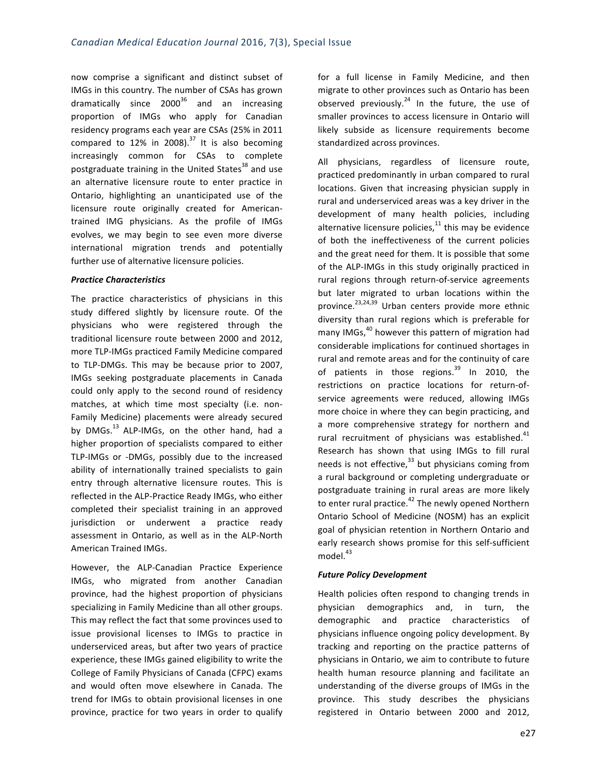now comprise a significant and distinct subset of IMGs in this country. The number of CSAs has grown dramatically since  $2000^{36}$  and an increasing proportion of IMGs who apply for Canadian residency programs each year are CSAs (25% in 2011 compared to 12% in 2008).<sup>37</sup> It is also becoming increasingly common for CSAs to complete postgraduate training in the United States $^{38}$  and use an alternative licensure route to enter practice in Ontario, highlighting an unanticipated use of the licensure route originally created for Americantrained IMG physicians. As the profile of IMGs evolves, we may begin to see even more diverse international migration trends and potentially further use of alternative licensure policies.

#### *Practice Characteristics*

The practice characteristics of physicians in this study differed slightly by licensure route. Of the physicians who were registered through the traditional licensure route between 2000 and 2012, more TLP-IMGs practiced Family Medicine compared to TLP-DMGs. This may be because prior to 2007, IMGs seeking postgraduate placements in Canada could only apply to the second round of residency matches, at which time most specialty (i.e. non-Family Medicine) placements were already secured by  $DMGs.<sup>13</sup>$  ALP-IMGs, on the other hand, had a higher proportion of specialists compared to either TLP-IMGs or -DMGs, possibly due to the increased ability of internationally trained specialists to gain entry through alternative licensure routes. This is reflected in the ALP-Practice Ready IMGs, who either completed their specialist training in an approved jurisdiction or underwent a practice ready assessment in Ontario, as well as in the ALP-North American Trained IMGs.

However, the ALP-Canadian Practice Experience IMGs, who migrated from another Canadian province, had the highest proportion of physicians specializing in Family Medicine than all other groups. This may reflect the fact that some provinces used to issue provisional licenses to IMGs to practice in underserviced areas, but after two years of practice experience, these IMGs gained eligibility to write the College of Family Physicians of Canada (CFPC) exams and would often move elsewhere in Canada. The trend for IMGs to obtain provisional licenses in one province, practice for two years in order to qualify for a full license in Family Medicine, and then migrate to other provinces such as Ontario has been observed previously.<sup>24</sup> In the future, the use of smaller provinces to access licensure in Ontario will likely subside as licensure requirements become standardized across provinces.

All physicians, regardless of licensure route, practiced predominantly in urban compared to rural locations. Given that increasing physician supply in rural and underserviced areas was a key driver in the development of many health policies, including alternative licensure policies, $^{11}$  this may be evidence of both the ineffectiveness of the current policies and the great need for them. It is possible that some of the ALP-IMGs in this study originally practiced in rural regions through return-of-service agreements but later migrated to urban locations within the province.<sup>23,24,39</sup> Urban centers provide more ethnic diversity than rural regions which is preferable for many IMGs, $^{40}$  however this pattern of migration had considerable implications for continued shortages in rural and remote areas and for the continuity of care of patients in those regions. $39$  In 2010, the restrictions on practice locations for return-ofservice agreements were reduced, allowing IMGs more choice in where they can begin practicing, and a more comprehensive strategy for northern and rural recruitment of physicians was established. $41$ Research has shown that using IMGs to fill rural needs is not effective, $33$  but physicians coming from a rural background or completing undergraduate or postgraduate training in rural areas are more likely to enter rural practice. $42$  The newly opened Northern Ontario School of Medicine (NOSM) has an explicit goal of physician retention in Northern Ontario and early research shows promise for this self-sufficient  $model.<sup>43</sup>$ 

#### *Future Policy Development*

Health policies often respond to changing trends in physician demographics and, in turn, the demographic and practice characteristics of physicians influence ongoing policy development. By tracking and reporting on the practice patterns of physicians in Ontario, we aim to contribute to future health human resource planning and facilitate an understanding of the diverse groups of IMGs in the province. This study describes the physicians registered in Ontario between 2000 and 2012,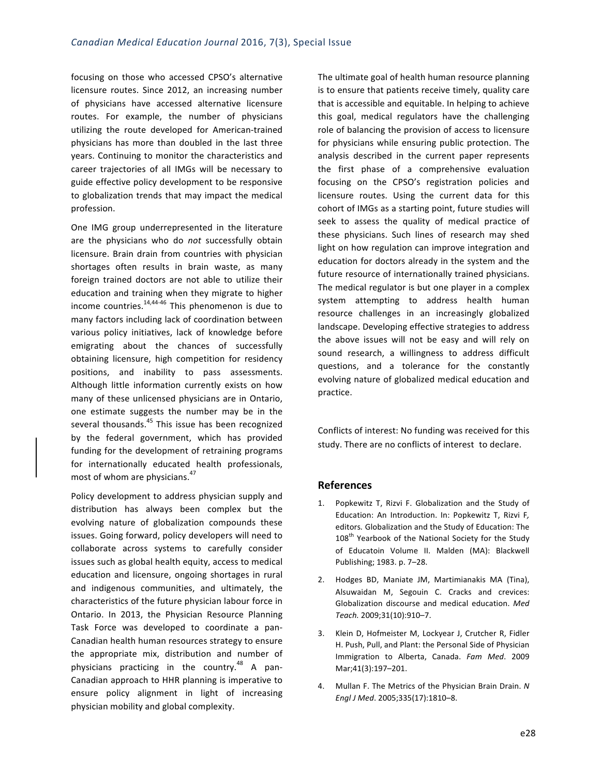focusing on those who accessed CPSO's alternative licensure routes. Since 2012, an increasing number of physicians have accessed alternative licensure routes. For example, the number of physicians utilizing the route developed for American-trained physicians has more than doubled in the last three years. Continuing to monitor the characteristics and career trajectories of all IMGs will be necessary to guide effective policy development to be responsive to globalization trends that may impact the medical profession. 

One IMG group underrepresented in the literature are the physicians who do *not* successfully obtain licensure. Brain drain from countries with physician shortages often results in brain waste, as many foreign trained doctors are not able to utilize their education and training when they migrate to higher income countries. $14,44-46$  This phenomenon is due to many factors including lack of coordination between various policy initiatives, lack of knowledge before emigrating about the chances of successfully obtaining licensure, high competition for residency positions, and inability to pass assessments. Although little information currently exists on how many of these unlicensed physicians are in Ontario, one estimate suggests the number may be in the several thousands.<sup>45</sup> This issue has been recognized by the federal government, which has provided funding for the development of retraining programs for internationally educated health professionals, most of whom are physicians.<sup>47</sup>

Policy development to address physician supply and distribution has always been complex but the evolving nature of globalization compounds these issues. Going forward, policy developers will need to collaborate across systems to carefully consider issues such as global health equity, access to medical education and licensure, ongoing shortages in rural and indigenous communities, and ultimately, the characteristics of the future physician labour force in Ontario. In 2013, the Physician Resource Planning Task Force was developed to coordinate a pan-Canadian health human resources strategy to ensure the appropriate mix, distribution and number of physicians practicing in the country.<sup>48</sup> A pan-Canadian approach to HHR planning is imperative to ensure policy alignment in light of increasing physician mobility and global complexity.

The ultimate goal of health human resource planning is to ensure that patients receive timely, quality care that is accessible and equitable. In helping to achieve this goal, medical regulators have the challenging role of balancing the provision of access to licensure for physicians while ensuring public protection. The analysis described in the current paper represents the first phase of a comprehensive evaluation focusing on the CPSO's registration policies and licensure routes. Using the current data for this cohort of IMGs as a starting point, future studies will seek to assess the quality of medical practice of these physicians. Such lines of research may shed light on how regulation can improve integration and education for doctors already in the system and the future resource of internationally trained physicians. The medical regulator is but one player in a complex system attempting to address health human resource challenges in an increasingly globalized landscape. Developing effective strategies to address the above issues will not be easy and will rely on sound research, a willingness to address difficult questions, and a tolerance for the constantly evolving nature of globalized medical education and practice.

Conflicts of interest: No funding was received for this study. There are no conflicts of interest to declare.

#### **References**

- 1. Popkewitz T, Rizvi F. Globalization and the Study of Education: An Introduction. In: Popkewitz T, Rizvi F, editors. Globalization and the Study of Education: The 108<sup>th</sup> Yearbook of the National Society for the Study of Educatoin Volume II. Malden (MA): Blackwell Publishing; 1983. p. 7-28.
- 2. Hodges BD, Maniate JM, Martimianakis MA (Tina), Alsuwaidan M, Segouin C. Cracks and crevices: Globalization discourse and medical education. Med *Teach.* 2009;31(10):910–7.
- 3. Klein D, Hofmeister M, Lockyear J, Crutcher R, Fidler H. Push, Pull, and Plant: the Personal Side of Physician Immigration to Alberta, Canada. *Fam Med*. 2009 Mar;41(3):197–201.
- 4. Mullan F. The Metrics of the Physician Brain Drain. N *Engl J Med*. 2005;335(17):1810–8.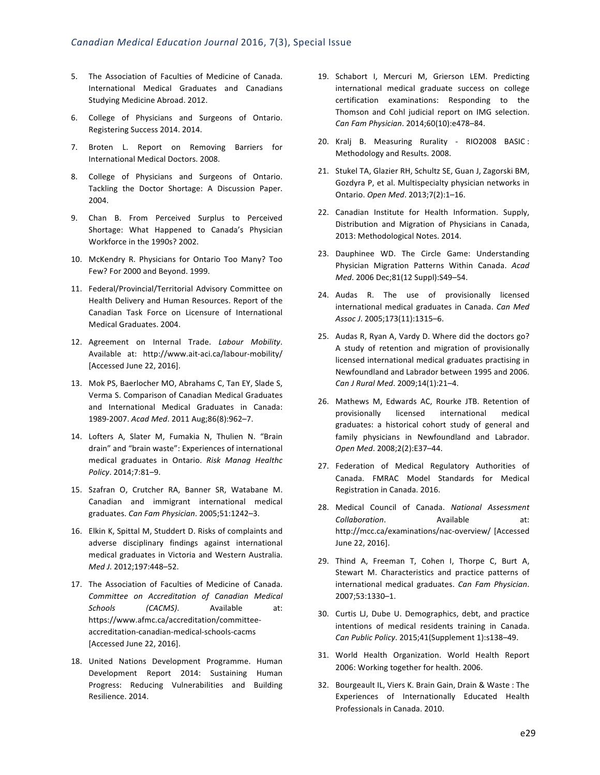- 5. The Association of Faculties of Medicine of Canada. International Medical Graduates and Canadians Studying Medicine Abroad. 2012.
- 6. College of Physicians and Surgeons of Ontario. Registering Success 2014. 2014.
- 7. Broten L. Report on Removing Barriers for International Medical Doctors. 2008.
- 8. College of Physicians and Surgeons of Ontario. Tackling the Doctor Shortage: A Discussion Paper. 2004.
- 9. Chan B. From Perceived Surplus to Perceived Shortage: What Happened to Canada's Physician Workforce in the 1990s? 2002.
- 10. McKendry R. Physicians for Ontario Too Many? Too Few? For 2000 and Beyond. 1999.
- 11. Federal/Provincial/Territorial Advisory Committee on Health Delivery and Human Resources. Report of the Canadian Task Force on Licensure of International Medical Graduates. 2004.
- 12. Agreement on Internal Trade. Labour Mobility. Available at: http://www.ait-aci.ca/labour-mobility/ [Accessed June 22, 2016].
- 13. Mok PS, Baerlocher MO, Abrahams C, Tan EY, Slade S, Verma S. Comparison of Canadian Medical Graduates and International Medical Graduates in Canada: 1989-2007. *Acad Med*. 2011 Aug;86(8):962–7.
- 14. Lofters A, Slater M, Fumakia N, Thulien N. "Brain drain" and "brain waste": Experiences of international medical graduates in Ontario. *Risk Manag Healthc Policy*. 2014;7:81–9.
- 15. Szafran O, Crutcher RA, Banner SR, Watabane M. Canadian and immigrant international medical graduates. *Can Fam Physician*. 2005;51:1242–3.
- 16. Elkin K, Spittal M, Studdert D. Risks of complaints and adverse disciplinary findings against international medical graduates in Victoria and Western Australia. *Med J*. 2012;197:448–52.
- 17. The Association of Faculties of Medicine of Canada. *Committee on Accreditation of Canadian Medical Schools (CACMS)*. Available at: https://www.afmc.ca/accreditation/committeeaccreditation-canadian-medical-schools-cacms [Accessed June 22, 2016].
- 18. United Nations Development Programme. Human Development Report 2014: Sustaining Human Progress: Reducing Vulnerabilities and Building Resilience. 2014.
- 19. Schabort I, Mercuri M, Grierson LEM. Predicting international medical graduate success on college certification examinations: Responding to the Thomson and Cohl judicial report on IMG selection. *Can Fam Physician*. 2014;60(10):e478–84.
- 20. Kralj B. Measuring Rurality RIO2008 BASIC : Methodology and Results. 2008.
- 21. Stukel TA, Glazier RH, Schultz SE, Guan J, Zagorski BM, Gozdyra P, et al. Multispecialty physician networks in Ontario. *Open Med*. 2013;7(2):1–16.
- 22. Canadian Institute for Health Information. Supply, Distribution and Migration of Physicians in Canada, 2013: Methodological Notes. 2014.
- 23. Dauphinee WD. The Circle Game: Understanding Physician Migration Patterns Within Canada. *Acad Med*. 2006 Dec;81(12 Suppl):S49–54.
- 24. Audas R. The use of provisionally licensed international medical graduates in Canada. *Can Med Assoc J*. 2005;173(11):1315–6.
- 25. Audas R, Ryan A, Vardy D. Where did the doctors go? A study of retention and migration of provisionally licensed international medical graduates practising in Newfoundland and Labrador between 1995 and 2006. *Can J Rural Med*. 2009;14(1):21–4.
- 26. Mathews M, Edwards AC, Rourke JTB. Retention of provisionally licensed international medical graduates: a historical cohort study of general and family physicians in Newfoundland and Labrador. *Open Med*. 2008;2(2):E37–44.
- 27. Federation of Medical Regulatory Authorities of Canada. FMRAC Model Standards for Medical Registration in Canada. 2016.
- 28. Medical Council of Canada. National Assessment **Collaboration.** Available at: http://mcc.ca/examinations/nac-overview/ [Accessed June 22, 2016].
- 29. Thind A, Freeman T, Cohen I, Thorpe C, Burt A, Stewart M. Characteristics and practice patterns of international medical graduates. *Can Fam Physician*. 2007;53:1330–1.
- 30. Curtis LJ, Dube U. Demographics, debt, and practice intentions of medical residents training in Canada. Can Public Policy. 2015;41(Supplement 1):s138-49.
- 31. World Health Organization. World Health Report 2006: Working together for health. 2006.
- 32. Bourgeault IL, Viers K. Brain Gain, Drain & Waste : The Experiences of Internationally Educated Health Professionals in Canada. 2010.